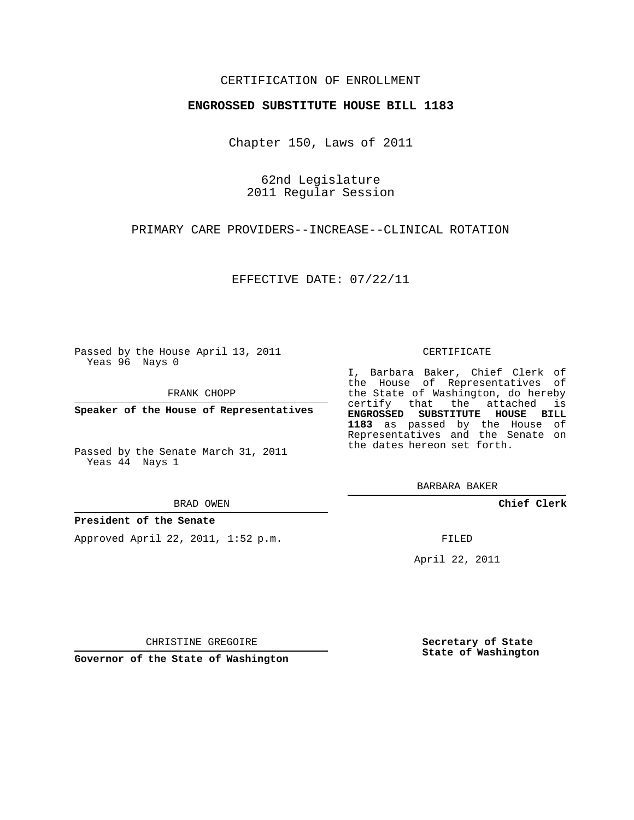## CERTIFICATION OF ENROLLMENT

## **ENGROSSED SUBSTITUTE HOUSE BILL 1183**

Chapter 150, Laws of 2011

62nd Legislature 2011 Regular Session

PRIMARY CARE PROVIDERS--INCREASE--CLINICAL ROTATION

EFFECTIVE DATE: 07/22/11

Passed by the House April 13, 2011 Yeas 96 Nays 0

FRANK CHOPP

**Speaker of the House of Representatives**

Passed by the Senate March 31, 2011 Yeas 44 Nays 1

#### BRAD OWEN

## **President of the Senate**

Approved April 22, 2011, 1:52 p.m.

#### CERTIFICATE

I, Barbara Baker, Chief Clerk of the House of Representatives of the State of Washington, do hereby certify that the attached is **ENGROSSED SUBSTITUTE HOUSE BILL 1183** as passed by the House of Representatives and the Senate on the dates hereon set forth.

BARBARA BAKER

**Chief Clerk**

FILED

April 22, 2011

CHRISTINE GREGOIRE

**Governor of the State of Washington**

**Secretary of State State of Washington**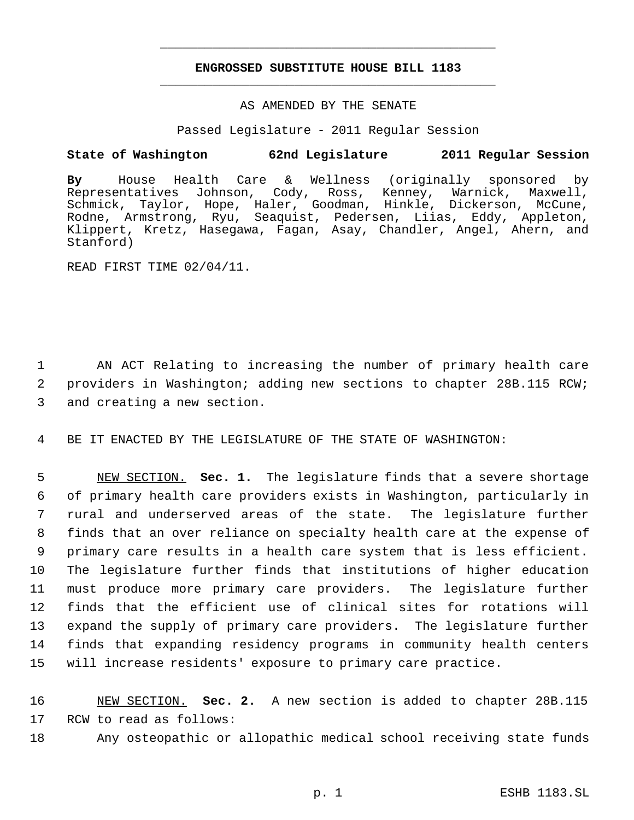# **ENGROSSED SUBSTITUTE HOUSE BILL 1183** \_\_\_\_\_\_\_\_\_\_\_\_\_\_\_\_\_\_\_\_\_\_\_\_\_\_\_\_\_\_\_\_\_\_\_\_\_\_\_\_\_\_\_\_\_

\_\_\_\_\_\_\_\_\_\_\_\_\_\_\_\_\_\_\_\_\_\_\_\_\_\_\_\_\_\_\_\_\_\_\_\_\_\_\_\_\_\_\_\_\_

## AS AMENDED BY THE SENATE

Passed Legislature - 2011 Regular Session

# **State of Washington 62nd Legislature 2011 Regular Session**

**By** House Health Care & Wellness (originally sponsored by Representatives Johnson, Cody, Ross, Kenney, Warnick, Maxwell, Schmick, Taylor, Hope, Haler, Goodman, Hinkle, Dickerson, McCune, Rodne, Armstrong, Ryu, Seaquist, Pedersen, Liias, Eddy, Appleton, Klippert, Kretz, Hasegawa, Fagan, Asay, Chandler, Angel, Ahern, and Stanford)

READ FIRST TIME 02/04/11.

 1 AN ACT Relating to increasing the number of primary health care 2 providers in Washington; adding new sections to chapter 28B.115 RCW; 3 and creating a new section.

4 BE IT ENACTED BY THE LEGISLATURE OF THE STATE OF WASHINGTON:

 NEW SECTION. **Sec. 1.** The legislature finds that a severe shortage of primary health care providers exists in Washington, particularly in rural and underserved areas of the state. The legislature further finds that an over reliance on specialty health care at the expense of primary care results in a health care system that is less efficient. The legislature further finds that institutions of higher education must produce more primary care providers. The legislature further finds that the efficient use of clinical sites for rotations will expand the supply of primary care providers. The legislature further finds that expanding residency programs in community health centers will increase residents' exposure to primary care practice.

16 NEW SECTION. **Sec. 2.** A new section is added to chapter 28B.115 17 RCW to read as follows:

18 Any osteopathic or allopathic medical school receiving state funds